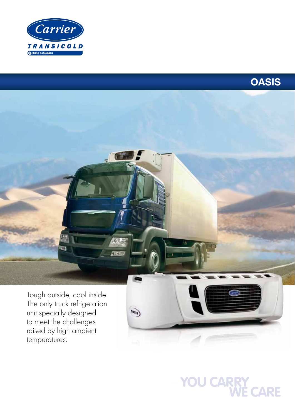

raised by high ambient

temperatures.



**##** 囫 Tough outside, cool inside. The only truck refrigeration  $\overrightarrow{04s/s}$ unit specially designed to meet the challenges

# YOU CARRY<br>WE CARE